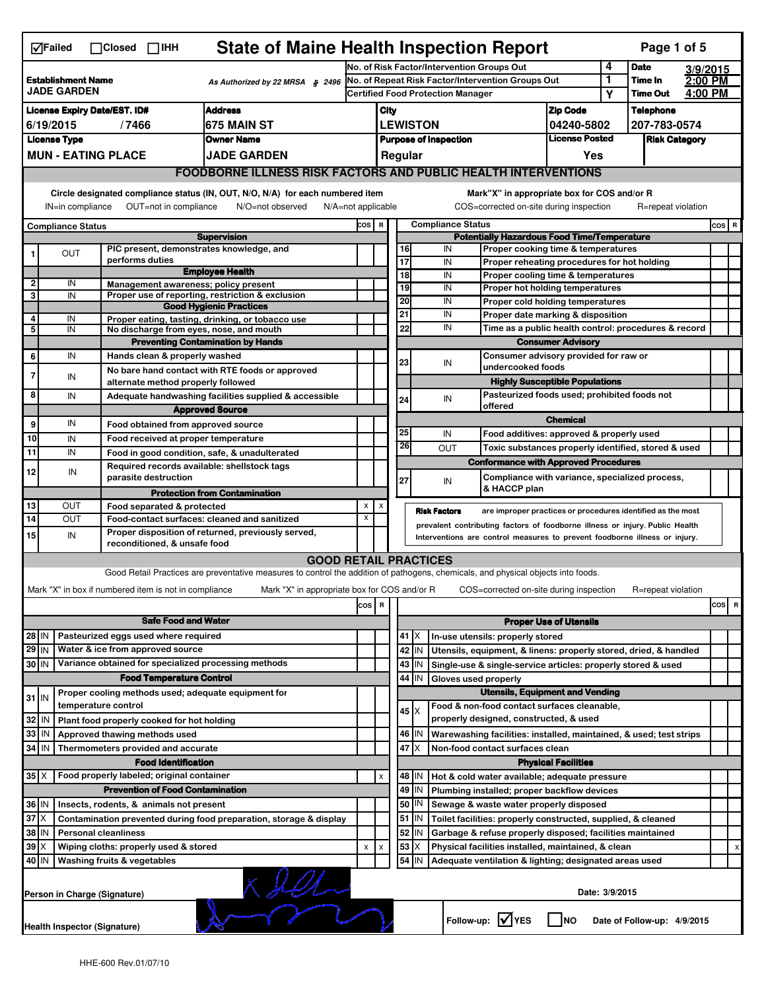| <b>State of Maine Health Inspection Report</b><br>Page 1 of 5<br>√Failed<br>$\Box$ Closed $\Box$ IHH |                                                                                          |                     |                                                                     |                                                                                                                                   |                                                                                               |                              |                 |              |                                                                                                       |                   |                                                                                        |                    |                         |  |       |   |
|------------------------------------------------------------------------------------------------------|------------------------------------------------------------------------------------------|---------------------|---------------------------------------------------------------------|-----------------------------------------------------------------------------------------------------------------------------------|-----------------------------------------------------------------------------------------------|------------------------------|-----------------|--------------|-------------------------------------------------------------------------------------------------------|-------------------|----------------------------------------------------------------------------------------|--------------------|-------------------------|--|-------|---|
| <b>Establishment Name</b>                                                                            |                                                                                          |                     |                                                                     |                                                                                                                                   | No. of Risk Factor/Intervention Groups Out                                                    |                              |                 |              |                                                                                                       |                   |                                                                                        | 4                  | <b>Date</b><br>3/9/2015 |  |       |   |
|                                                                                                      | <b>JADE GARDEN</b>                                                                       |                     |                                                                     | As Authorized by 22 MRSA § 2496                                                                                                   | No. of Repeat Risk Factor/Intervention Groups Out<br><b>Certified Food Protection Manager</b> |                              |                 |              |                                                                                                       | 1<br>Υ            | Time In<br><b>Time Out</b>                                                             | 2:00 PM<br>4:00 PM |                         |  |       |   |
|                                                                                                      | <b>Address</b><br><b>License Expiry Date/EST. ID#</b>                                    |                     |                                                                     |                                                                                                                                   |                                                                                               | City                         |                 |              |                                                                                                       |                   | <b>Zip Code</b>                                                                        |                    | <b>Telephone</b>        |  |       |   |
|                                                                                                      | 6/19/2015                                                                                |                     | /7466                                                               | 675 MAIN ST                                                                                                                       |                                                                                               | <b>LEWISTON</b>              |                 |              |                                                                                                       |                   | 04240-5802                                                                             | 207-783-0574       |                         |  |       |   |
|                                                                                                      | <b>License Type</b>                                                                      |                     |                                                                     | <b>Owner Name</b>                                                                                                                 |                                                                                               | <b>Purpose of Inspection</b> |                 |              |                                                                                                       |                   | <b>License Posted</b>                                                                  |                    | <b>Risk Category</b>    |  |       |   |
|                                                                                                      | <b>MUN - EATING PLACE</b><br>JADE GARDEN                                                 |                     |                                                                     |                                                                                                                                   |                                                                                               |                              | Regular         |              |                                                                                                       |                   | Yes                                                                                    |                    |                         |  |       |   |
|                                                                                                      | <b>FOODBORNE ILLNESS RISK FACTORS AND PUBLIC HEALTH INTERVENTIONS</b>                    |                     |                                                                     |                                                                                                                                   |                                                                                               |                              |                 |              |                                                                                                       |                   |                                                                                        |                    |                         |  |       |   |
|                                                                                                      | IN=in compliance                                                                         |                     | OUT=not in compliance                                               | Circle designated compliance status (IN, OUT, N/O, N/A) for each numbered item<br>N/O=not observed                                | $N/A = not$ applicable                                                                        |                              |                 |              |                                                                                                       |                   | Mark"X" in appropriate box for COS and/or R<br>COS=corrected on-site during inspection |                    | R=repeat violation      |  |       |   |
|                                                                                                      |                                                                                          |                     |                                                                     |                                                                                                                                   | COS R                                                                                         |                              |                 |              | <b>Compliance Status</b>                                                                              |                   |                                                                                        |                    |                         |  | COS R |   |
| <b>Compliance Status</b><br><b>Supervision</b>                                                       |                                                                                          |                     |                                                                     |                                                                                                                                   |                                                                                               |                              |                 |              |                                                                                                       |                   | <b>Potentially Hazardous Food Time/Temperature</b>                                     |                    |                         |  |       |   |
|                                                                                                      | OUT                                                                                      |                     | PIC present, demonstrates knowledge, and                            |                                                                                                                                   |                                                                                               |                              | 16              |              | IN                                                                                                    |                   | Proper cooking time & temperatures                                                     |                    |                         |  |       |   |
|                                                                                                      |                                                                                          |                     | performs duties                                                     | <b>Employee Health</b>                                                                                                            |                                                                                               |                              | $\overline{17}$ |              | IN                                                                                                    |                   | Proper reheating procedures for hot holding                                            |                    |                         |  |       |   |
| $\overline{2}$                                                                                       | IN                                                                                       |                     | Management awareness; policy present                                |                                                                                                                                   |                                                                                               |                              | 18<br>19        |              | IN<br>IN                                                                                              |                   | Proper cooling time & temperatures<br>Proper hot holding temperatures                  |                    |                         |  |       |   |
| 3                                                                                                    | IN                                                                                       |                     |                                                                     | Proper use of reporting, restriction & exclusion                                                                                  |                                                                                               |                              | 20              |              | IN                                                                                                    |                   | Proper cold holding temperatures                                                       |                    |                         |  |       |   |
| 4                                                                                                    |                                                                                          |                     |                                                                     | <b>Good Hygienic Practices</b>                                                                                                    |                                                                                               |                              | 21              |              | IN                                                                                                    |                   | Proper date marking & disposition                                                      |                    |                         |  |       |   |
| 5                                                                                                    | IN<br>IN                                                                                 |                     | No discharge from eyes, nose, and mouth                             | Proper eating, tasting, drinking, or tobacco use                                                                                  |                                                                                               |                              | 22              |              | IN                                                                                                    |                   | Time as a public health control: procedures & record                                   |                    |                         |  |       |   |
|                                                                                                      |                                                                                          |                     |                                                                     | <b>Preventing Contamination by Hands</b>                                                                                          |                                                                                               |                              |                 |              |                                                                                                       |                   | <b>Consumer Advisory</b>                                                               |                    |                         |  |       |   |
| 6                                                                                                    | IN                                                                                       |                     | Hands clean & properly washed                                       |                                                                                                                                   |                                                                                               |                              | 23              |              |                                                                                                       |                   | Consumer advisory provided for raw or                                                  |                    |                         |  |       |   |
| 7                                                                                                    |                                                                                          |                     |                                                                     | No bare hand contact with RTE foods or approved                                                                                   |                                                                                               |                              |                 |              | IN                                                                                                    | undercooked foods |                                                                                        |                    |                         |  |       |   |
|                                                                                                      | IN                                                                                       |                     | alternate method properly followed                                  |                                                                                                                                   |                                                                                               |                              |                 |              |                                                                                                       |                   | <b>Highly Susceptible Populations</b>                                                  |                    |                         |  |       |   |
| 8                                                                                                    | IN                                                                                       |                     |                                                                     | Adequate handwashing facilities supplied & accessible                                                                             |                                                                                               |                              | 24              |              | IN<br>offered                                                                                         |                   | Pasteurized foods used; prohibited foods not                                           |                    |                         |  |       |   |
|                                                                                                      |                                                                                          |                     |                                                                     | <b>Approved Source</b>                                                                                                            |                                                                                               |                              |                 |              |                                                                                                       |                   | <b>Chemical</b>                                                                        |                    |                         |  |       |   |
| 9                                                                                                    | IN                                                                                       |                     | Food obtained from approved source                                  |                                                                                                                                   |                                                                                               |                              | 25              |              | IN                                                                                                    |                   | Food additives: approved & properly used                                               |                    |                         |  |       |   |
| 10                                                                                                   | IN                                                                                       |                     | Food received at proper temperature                                 |                                                                                                                                   |                                                                                               |                              | 26              |              | <b>OUT</b>                                                                                            |                   | Toxic substances properly identified, stored & used                                    |                    |                         |  |       |   |
| 11                                                                                                   | IN                                                                                       |                     |                                                                     | Food in good condition, safe, & unadulterated                                                                                     |                                                                                               |                              |                 |              |                                                                                                       |                   | <b>Conformance with Approved Procedures</b>                                            |                    |                         |  |       |   |
| 12                                                                                                   | IN                                                                                       |                     | Required records available: shellstock tags<br>parasite destruction |                                                                                                                                   |                                                                                               |                              |                 |              |                                                                                                       |                   | Compliance with variance, specialized process,                                         |                    |                         |  |       |   |
|                                                                                                      |                                                                                          |                     |                                                                     | <b>Protection from Contamination</b>                                                                                              |                                                                                               |                              | 27              |              | IN                                                                                                    | & HACCP plan      |                                                                                        |                    |                         |  |       |   |
| 13                                                                                                   | OUT                                                                                      |                     | Food separated & protected                                          |                                                                                                                                   | X                                                                                             | х                            |                 |              |                                                                                                       |                   |                                                                                        |                    |                         |  |       |   |
| 14                                                                                                   | OUT                                                                                      |                     |                                                                     | Food-contact surfaces: cleaned and sanitized                                                                                      | x                                                                                             |                              |                 |              | <b>Risk Factors</b><br>prevalent contributing factors of foodborne illness or injury. Public Health   |                   | are improper practices or procedures identified as the most                            |                    |                         |  |       |   |
| 15                                                                                                   | IN                                                                                       |                     |                                                                     | Proper disposition of returned, previously served,                                                                                |                                                                                               |                              |                 |              | Interventions are control measures to prevent foodborne illness or injury.                            |                   |                                                                                        |                    |                         |  |       |   |
|                                                                                                      |                                                                                          |                     | reconditioned, & unsafe food                                        |                                                                                                                                   |                                                                                               |                              |                 |              |                                                                                                       |                   |                                                                                        |                    |                         |  |       |   |
|                                                                                                      |                                                                                          |                     |                                                                     | <b>GOOD RETAIL PRACTICES</b>                                                                                                      |                                                                                               |                              |                 |              |                                                                                                       |                   |                                                                                        |                    |                         |  |       |   |
|                                                                                                      |                                                                                          |                     |                                                                     | Good Retail Practices are preventative measures to control the addition of pathogens, chemicals, and physical objects into foods. |                                                                                               |                              |                 |              |                                                                                                       |                   |                                                                                        |                    |                         |  |       |   |
|                                                                                                      |                                                                                          |                     | Mark "X" in box if numbered item is not in compliance               | Mark "X" in appropriate box for COS and/or R                                                                                      |                                                                                               |                              |                 |              |                                                                                                       |                   | COS=corrected on-site during inspection                                                |                    | R=repeat violation      |  |       |   |
|                                                                                                      |                                                                                          |                     |                                                                     |                                                                                                                                   | cos                                                                                           | R                            |                 |              |                                                                                                       |                   |                                                                                        |                    |                         |  | cos   | R |
|                                                                                                      |                                                                                          |                     | <b>Safe Food and Water</b>                                          |                                                                                                                                   |                                                                                               |                              |                 |              |                                                                                                       |                   | <b>Proper Use of Utensils</b>                                                          |                    |                         |  |       |   |
| 28 IN                                                                                                |                                                                                          |                     | Pasteurized eggs used where required                                |                                                                                                                                   |                                                                                               |                              | 41              | X            | In-use utensils: properly stored                                                                      |                   |                                                                                        |                    |                         |  |       |   |
| $29$ IN                                                                                              |                                                                                          |                     | Water & ice from approved source                                    |                                                                                                                                   |                                                                                               |                              |                 | 42 IN        | Utensils, equipment, & linens: properly stored, dried, & handled                                      |                   |                                                                                        |                    |                         |  |       |   |
| 30 IN                                                                                                |                                                                                          |                     | Variance obtained for specialized processing methods                |                                                                                                                                   |                                                                                               |                              |                 | 43 IN        | Single-use & single-service articles: properly stored & used                                          |                   |                                                                                        |                    |                         |  |       |   |
|                                                                                                      |                                                                                          |                     | <b>Food Temperature Control</b>                                     |                                                                                                                                   |                                                                                               |                              | 44              | IN           | Gloves used properly                                                                                  |                   |                                                                                        |                    |                         |  |       |   |
| $31$ IN                                                                                              |                                                                                          |                     | Proper cooling methods used; adequate equipment for                 |                                                                                                                                   |                                                                                               |                              |                 |              |                                                                                                       |                   | <b>Utensils, Equipment and Vending</b>                                                 |                    |                         |  |       |   |
|                                                                                                      |                                                                                          | temperature control |                                                                     |                                                                                                                                   |                                                                                               |                              |                 | $45 \times$  | Food & non-food contact surfaces cleanable,<br>properly designed, constructed, & used                 |                   |                                                                                        |                    |                         |  |       |   |
| 32                                                                                                   | ۱N                                                                                       |                     | Plant food properly cooked for hot holding                          |                                                                                                                                   |                                                                                               |                              |                 |              |                                                                                                       |                   |                                                                                        |                    |                         |  |       |   |
| 33<br>34 IN                                                                                          | IN                                                                                       |                     | Approved thawing methods used                                       |                                                                                                                                   |                                                                                               |                              | 47              | 46   IN<br>X | Warewashing facilities: installed, maintained, & used; test strips<br>Non-food contact surfaces clean |                   |                                                                                        |                    |                         |  |       |   |
|                                                                                                      |                                                                                          |                     | Thermometers provided and accurate<br><b>Food Identification</b>    |                                                                                                                                   |                                                                                               |                              |                 |              |                                                                                                       |                   | <b>Physical Facilities</b>                                                             |                    |                         |  |       |   |
| $35$ $\times$                                                                                        |                                                                                          |                     | Food properly labeled; original container                           |                                                                                                                                   |                                                                                               | х                            |                 | 48   IN      | Hot & cold water available; adequate pressure                                                         |                   |                                                                                        |                    |                         |  |       |   |
|                                                                                                      |                                                                                          |                     | <b>Prevention of Food Contamination</b>                             |                                                                                                                                   |                                                                                               |                              | 49              | IN           | Plumbing installed; proper backflow devices                                                           |                   |                                                                                        |                    |                         |  |       |   |
| 36 IN                                                                                                |                                                                                          |                     | Insects, rodents, & animals not present                             |                                                                                                                                   |                                                                                               |                              | 50              | IN           | Sewage & waste water properly disposed                                                                |                   |                                                                                        |                    |                         |  |       |   |
| $37$ $\times$                                                                                        |                                                                                          |                     |                                                                     | Contamination prevented during food preparation, storage & display                                                                |                                                                                               |                              |                 | 51 IN        | Toilet facilities: properly constructed, supplied, & cleaned                                          |                   |                                                                                        |                    |                         |  |       |   |
| 38                                                                                                   | ΙM                                                                                       |                     | <b>Personal cleanliness</b>                                         |                                                                                                                                   |                                                                                               |                              |                 | 52 IN        | Garbage & refuse properly disposed; facilities maintained                                             |                   |                                                                                        |                    |                         |  |       |   |
| 39                                                                                                   |                                                                                          |                     | Wiping cloths: properly used & stored                               |                                                                                                                                   | X                                                                                             | X                            | 53              | X            | Physical facilities installed, maintained, & clean                                                    |                   |                                                                                        |                    |                         |  |       |   |
| 40 IN                                                                                                |                                                                                          |                     | Washing fruits & vegetables                                         |                                                                                                                                   |                                                                                               |                              |                 | 54 IN        | Adequate ventilation & lighting; designated areas used                                                |                   |                                                                                        |                    |                         |  |       |   |
|                                                                                                      | Person in Charge (Signature)                                                             |                     |                                                                     |                                                                                                                                   |                                                                                               |                              |                 |              |                                                                                                       |                   | Date: 3/9/2015                                                                         |                    |                         |  |       |   |
|                                                                                                      | Follow-up: V YES<br>  Ino<br>Date of Follow-up: 4/9/2015<br>Health Inspector (Signature) |                     |                                                                     |                                                                                                                                   |                                                                                               |                              |                 |              |                                                                                                       |                   |                                                                                        |                    |                         |  |       |   |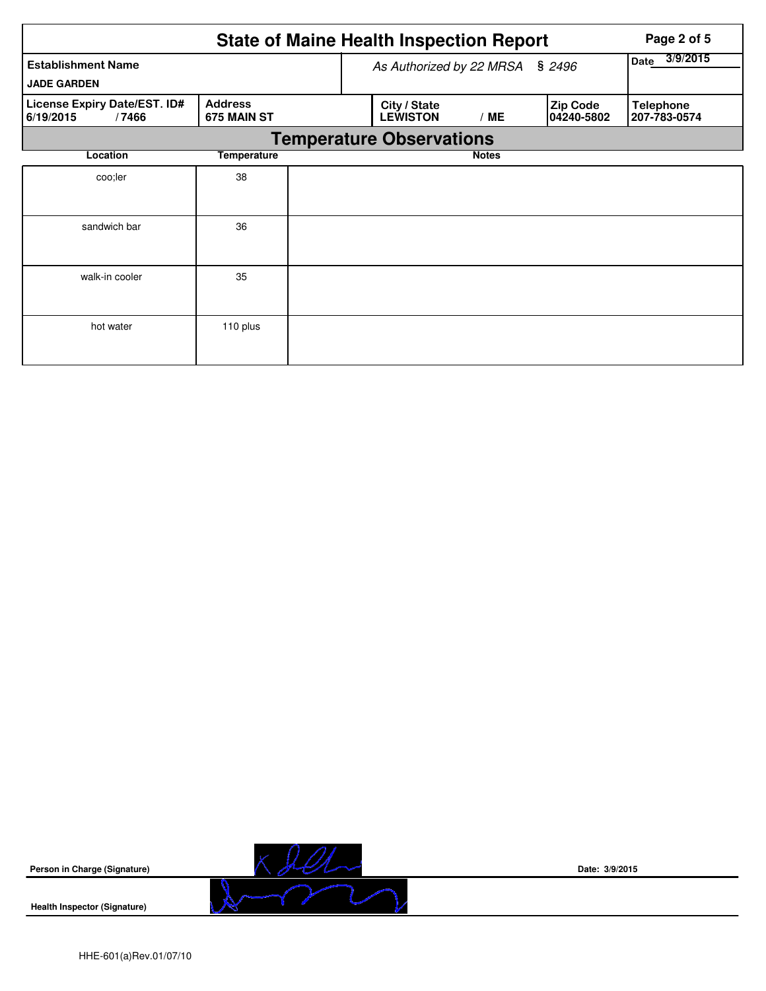|                                                                                     |             |  | <b>State of Maine Health Inspection Report</b> |                  |                                | Page 2 of 5                      |
|-------------------------------------------------------------------------------------|-------------|--|------------------------------------------------|------------------|--------------------------------|----------------------------------|
| <b>Establishment Name</b><br><b>JADE GARDEN</b>                                     |             |  | As Authorized by 22 MRSA § 2496                | 3/9/2015<br>Date |                                |                                  |
| License Expiry Date/EST. ID#<br><b>Address</b><br>675 MAIN ST<br>6/19/2015<br>/7466 |             |  | City / State<br><b>LEWISTON</b>                | /ME              | <b>Zip Code</b><br>104240-5802 | <b>Telephone</b><br>207-783-0574 |
|                                                                                     |             |  | <b>Temperature Observations</b>                |                  |                                |                                  |
| Location                                                                            | Temperature |  |                                                | <b>Notes</b>     |                                |                                  |
| coo;ler                                                                             | 38          |  |                                                |                  |                                |                                  |
| sandwich bar                                                                        | 36          |  |                                                |                  |                                |                                  |
| walk-in cooler                                                                      | 35          |  |                                                |                  |                                |                                  |
| hot water                                                                           | 110 plus    |  |                                                |                  |                                |                                  |



**Health Inspector (Signature)** 



**Date: 3/9/2015**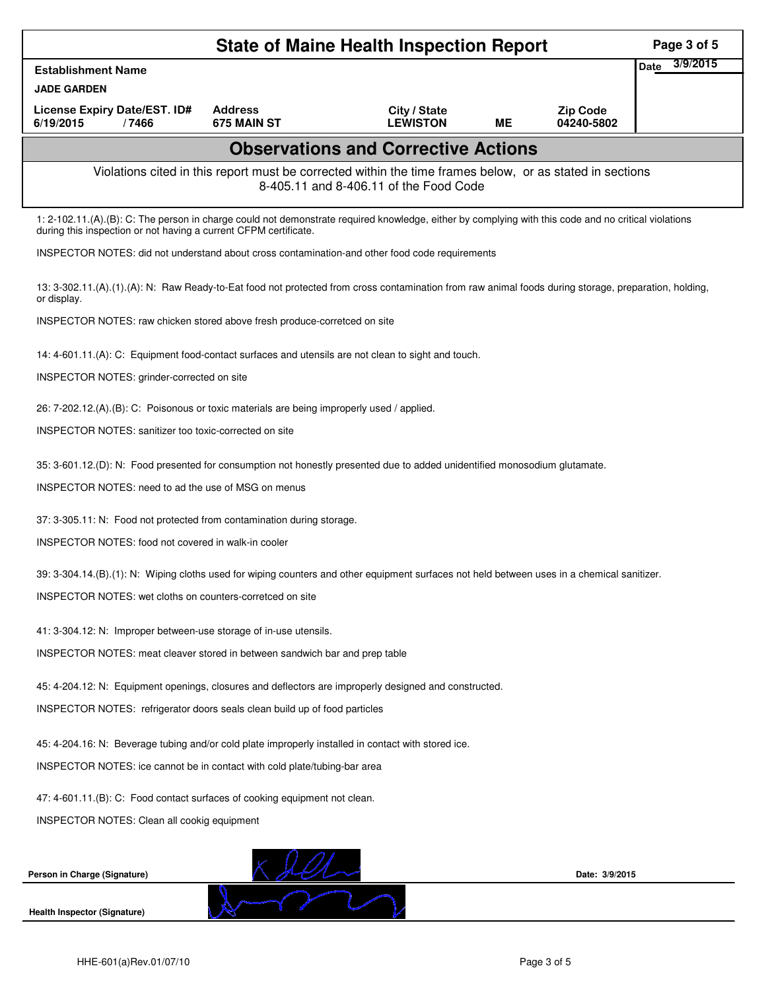|                                                                                                                                                                                                                          |                               | <b>State of Maine Health Inspection Report</b> |           |                               | Page 3 of 5             |  |  |  |
|--------------------------------------------------------------------------------------------------------------------------------------------------------------------------------------------------------------------------|-------------------------------|------------------------------------------------|-----------|-------------------------------|-------------------------|--|--|--|
| <b>Establishment Name</b>                                                                                                                                                                                                |                               |                                                |           |                               | 3/9/2015<br><b>Date</b> |  |  |  |
| <b>JADE GARDEN</b>                                                                                                                                                                                                       |                               |                                                |           |                               |                         |  |  |  |
| License Expiry Date/EST. ID#<br>6/19/2015<br>/7466                                                                                                                                                                       | <b>Address</b><br>675 MAIN ST | City / State<br><b>LEWISTON</b>                | <b>ME</b> | <b>Zip Code</b><br>04240-5802 |                         |  |  |  |
|                                                                                                                                                                                                                          |                               | <b>Observations and Corrective Actions</b>     |           |                               |                         |  |  |  |
| Violations cited in this report must be corrected within the time frames below, or as stated in sections<br>8-405.11 and 8-406.11 of the Food Code                                                                       |                               |                                                |           |                               |                         |  |  |  |
| 1: 2-102.11.(A).(B): C: The person in charge could not demonstrate required knowledge, either by complying with this code and no critical violations<br>during this inspection or not having a current CFPM certificate. |                               |                                                |           |                               |                         |  |  |  |
| INSPECTOR NOTES: did not understand about cross contamination-and other food code requirements                                                                                                                           |                               |                                                |           |                               |                         |  |  |  |
| 13: 3-302.11.(A).(1).(A): N: Raw Ready-to-Eat food not protected from cross contamination from raw animal foods during storage, preparation, holding,<br>or display.                                                     |                               |                                                |           |                               |                         |  |  |  |
| INSPECTOR NOTES: raw chicken stored above fresh produce-corretced on site                                                                                                                                                |                               |                                                |           |                               |                         |  |  |  |
| 14: 4-601.11.(A): C: Equipment food-contact surfaces and utensils are not clean to sight and touch.                                                                                                                      |                               |                                                |           |                               |                         |  |  |  |
| INSPECTOR NOTES: grinder-corrected on site                                                                                                                                                                               |                               |                                                |           |                               |                         |  |  |  |
| 26: 7-202.12.(A).(B): C: Poisonous or toxic materials are being improperly used / applied.                                                                                                                               |                               |                                                |           |                               |                         |  |  |  |
| <b>INSPECTOR NOTES: sanitizer too toxic-corrected on site</b>                                                                                                                                                            |                               |                                                |           |                               |                         |  |  |  |
| 35: 3-601.12.(D): N: Food presented for consumption not honestly presented due to added unidentified monosodium glutamate.                                                                                               |                               |                                                |           |                               |                         |  |  |  |
| INSPECTOR NOTES: need to ad the use of MSG on menus                                                                                                                                                                      |                               |                                                |           |                               |                         |  |  |  |
| 37: 3-305.11: N: Food not protected from contamination during storage.                                                                                                                                                   |                               |                                                |           |                               |                         |  |  |  |
| INSPECTOR NOTES: food not covered in walk-in cooler                                                                                                                                                                      |                               |                                                |           |                               |                         |  |  |  |
| 39: 3-304.14.(B).(1): N: Wiping cloths used for wiping counters and other equipment surfaces not held between uses in a chemical sanitizer.                                                                              |                               |                                                |           |                               |                         |  |  |  |
| INSPECTOR NOTES: wet cloths on counters-corretced on site                                                                                                                                                                |                               |                                                |           |                               |                         |  |  |  |
| 41: 3-304.12: N: Improper between-use storage of in-use utensils.                                                                                                                                                        |                               |                                                |           |                               |                         |  |  |  |
| INSPECTOR NOTES: meat cleaver stored in between sandwich bar and prep table                                                                                                                                              |                               |                                                |           |                               |                         |  |  |  |
| 45: 4-204.12: N: Equipment openings, closures and deflectors are improperly designed and constructed.                                                                                                                    |                               |                                                |           |                               |                         |  |  |  |
| INSPECTOR NOTES: refrigerator doors seals clean build up of food particles                                                                                                                                               |                               |                                                |           |                               |                         |  |  |  |
| 45: 4-204.16: N: Beverage tubing and/or cold plate improperly installed in contact with stored ice.                                                                                                                      |                               |                                                |           |                               |                         |  |  |  |
| INSPECTOR NOTES: ice cannot be in contact with cold plate/tubing-bar area                                                                                                                                                |                               |                                                |           |                               |                         |  |  |  |
| 47: 4-601.11.(B): C: Food contact surfaces of cooking equipment not clean.                                                                                                                                               |                               |                                                |           |                               |                         |  |  |  |
| INSPECTOR NOTES: Clean all cookig equipment                                                                                                                                                                              |                               |                                                |           |                               |                         |  |  |  |
| Person in Charge (Signature)                                                                                                                                                                                             |                               |                                                |           | Date: 3/9/2015                |                         |  |  |  |
|                                                                                                                                                                                                                          |                               |                                                |           |                               |                         |  |  |  |
| <b>Health Inspector (Signature)</b>                                                                                                                                                                                      |                               |                                                |           |                               |                         |  |  |  |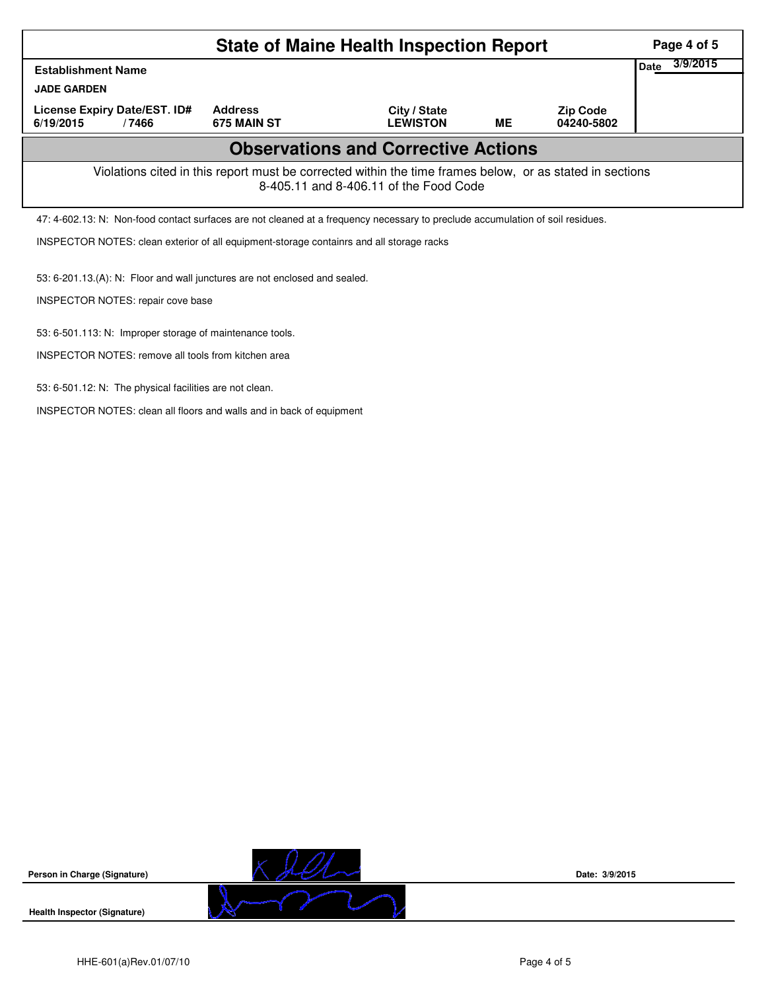| <b>State of Maine Health Inspection Report</b> |                                                                                                                                                    |                                                         |                                                                            |                                                                                                                                |           |                               |      | Page 4 of 5 |  |
|------------------------------------------------|----------------------------------------------------------------------------------------------------------------------------------------------------|---------------------------------------------------------|----------------------------------------------------------------------------|--------------------------------------------------------------------------------------------------------------------------------|-----------|-------------------------------|------|-------------|--|
|                                                | <b>Establishment Name</b>                                                                                                                          |                                                         |                                                                            |                                                                                                                                |           |                               | Date | 3/9/2015    |  |
|                                                | <b>JADE GARDEN</b>                                                                                                                                 |                                                         |                                                                            |                                                                                                                                |           |                               |      |             |  |
|                                                | License Expiry Date/EST. ID#<br>6/19/2015                                                                                                          | /7466                                                   | <b>Address</b><br>675 MAIN ST                                              | City / State<br><b>LEWISTON</b>                                                                                                | <b>ME</b> | <b>Zip Code</b><br>04240-5802 |      |             |  |
|                                                |                                                                                                                                                    |                                                         |                                                                            | <b>Observations and Corrective Actions</b>                                                                                     |           |                               |      |             |  |
|                                                | Violations cited in this report must be corrected within the time frames below, or as stated in sections<br>8-405.11 and 8-406.11 of the Food Code |                                                         |                                                                            |                                                                                                                                |           |                               |      |             |  |
|                                                |                                                                                                                                                    |                                                         |                                                                            | 47: 4-602.13: N: Non-food contact surfaces are not cleaned at a frequency necessary to preclude accumulation of soil residues. |           |                               |      |             |  |
|                                                | INSPECTOR NOTES: clean exterior of all equipment-storage containrs and all storage racks                                                           |                                                         |                                                                            |                                                                                                                                |           |                               |      |             |  |
|                                                |                                                                                                                                                    |                                                         | 53: 6-201.13.(A): N: Floor and wall junctures are not enclosed and sealed. |                                                                                                                                |           |                               |      |             |  |
|                                                | INSPECTOR NOTES: repair cove base                                                                                                                  |                                                         |                                                                            |                                                                                                                                |           |                               |      |             |  |
|                                                |                                                                                                                                                    |                                                         | 53: 6-501.113: N: Improper storage of maintenance tools.                   |                                                                                                                                |           |                               |      |             |  |
|                                                |                                                                                                                                                    |                                                         | <b>INSPECTOR NOTES: remove all tools from kitchen area</b>                 |                                                                                                                                |           |                               |      |             |  |
|                                                |                                                                                                                                                    | 53: 6-501.12: N: The physical facilities are not clean. |                                                                            |                                                                                                                                |           |                               |      |             |  |

HHE-601(a)Rev.01/07/10 Page 4 of 5

**Person in Charge (Signature)**

**Health Inspector (Signature)** 

INSPECTOR NOTES: clean all floors and walls and in back of equipment



**Date: 3/9/2015**